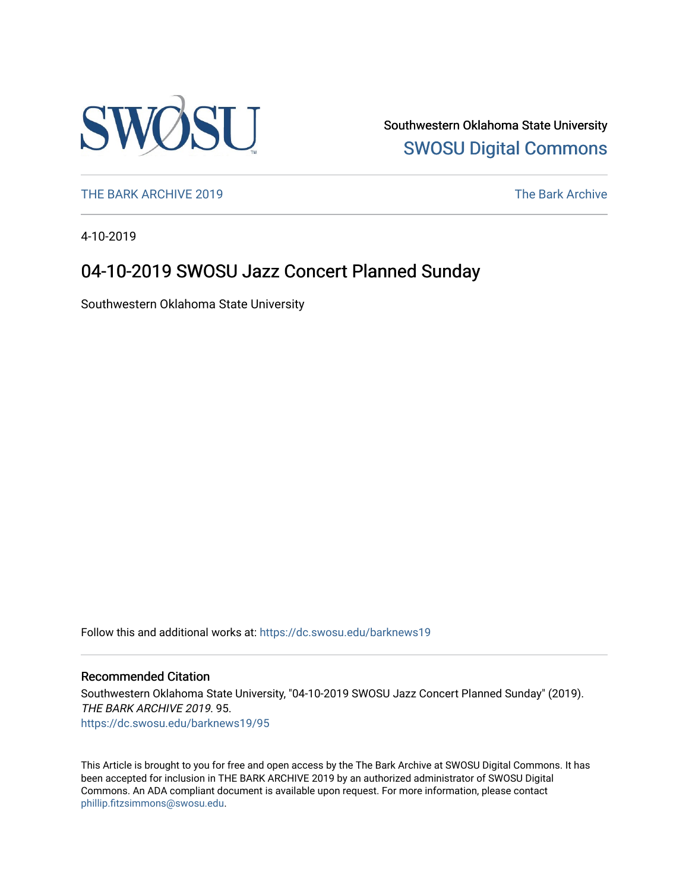

Southwestern Oklahoma State University [SWOSU Digital Commons](https://dc.swosu.edu/) 

[THE BARK ARCHIVE 2019](https://dc.swosu.edu/barknews19) The Bark Archive

4-10-2019

### 04-10-2019 SWOSU Jazz Concert Planned Sunday

Southwestern Oklahoma State University

Follow this and additional works at: [https://dc.swosu.edu/barknews19](https://dc.swosu.edu/barknews19?utm_source=dc.swosu.edu%2Fbarknews19%2F95&utm_medium=PDF&utm_campaign=PDFCoverPages)

#### Recommended Citation

Southwestern Oklahoma State University, "04-10-2019 SWOSU Jazz Concert Planned Sunday" (2019). THE BARK ARCHIVE 2019. 95. [https://dc.swosu.edu/barknews19/95](https://dc.swosu.edu/barknews19/95?utm_source=dc.swosu.edu%2Fbarknews19%2F95&utm_medium=PDF&utm_campaign=PDFCoverPages) 

This Article is brought to you for free and open access by the The Bark Archive at SWOSU Digital Commons. It has been accepted for inclusion in THE BARK ARCHIVE 2019 by an authorized administrator of SWOSU Digital Commons. An ADA compliant document is available upon request. For more information, please contact [phillip.fitzsimmons@swosu.edu](mailto:phillip.fitzsimmons@swosu.edu).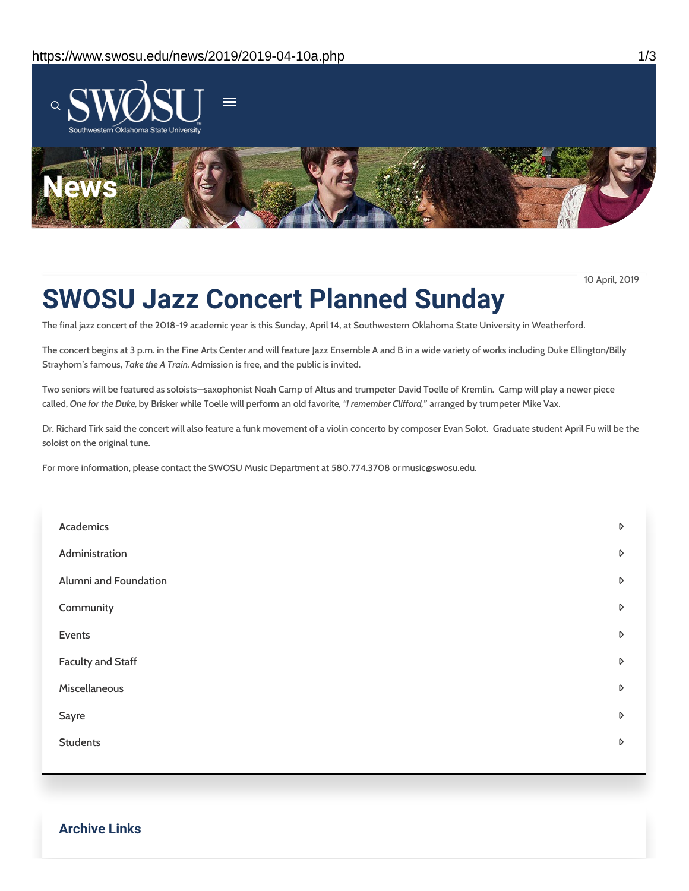

10 April, 2019

## **SWOSU Jazz Concert Planned Sunday**

The final jazz concert of the 2018-19 academic year is this Sunday, April 14, at Southwestern Oklahoma State University in Weatherford.

The concert begins at 3 p.m. in the Fine Arts Center and will feature Jazz Ensemble A and B in a wide variety of works including Duke Ellington/Billy Strayhorn's famous, *Take the A Train.* Admission is free, and the public is invited.

Two seniors will be featured as soloists—saxophonist Noah Camp of Altus and trumpeter David Toelle of Kremlin. Camp will play a newer piece called, *One for the Duke,* by Brisker while Toelle will perform an old favorite*, "I remember Clifford,"* arranged by trumpeter Mike Vax.

Dr. Richard Tirk said the concert will also feature a funk movement of a violin concerto by composer Evan Solot. Graduate student April Fu will be the soloist on the original tune.

For more information, please contact the SWOSU Music Department at 580.774.3708 or music@swosu.edu.

| Academics                | D |
|--------------------------|---|
| Administration           | D |
| Alumni and Foundation    | D |
| Community                | D |
| Events                   | D |
| <b>Faculty and Staff</b> | D |
| Miscellaneous            | D |
| Sayre                    | D |
| <b>Students</b>          | D |
|                          |   |

**Archive Links**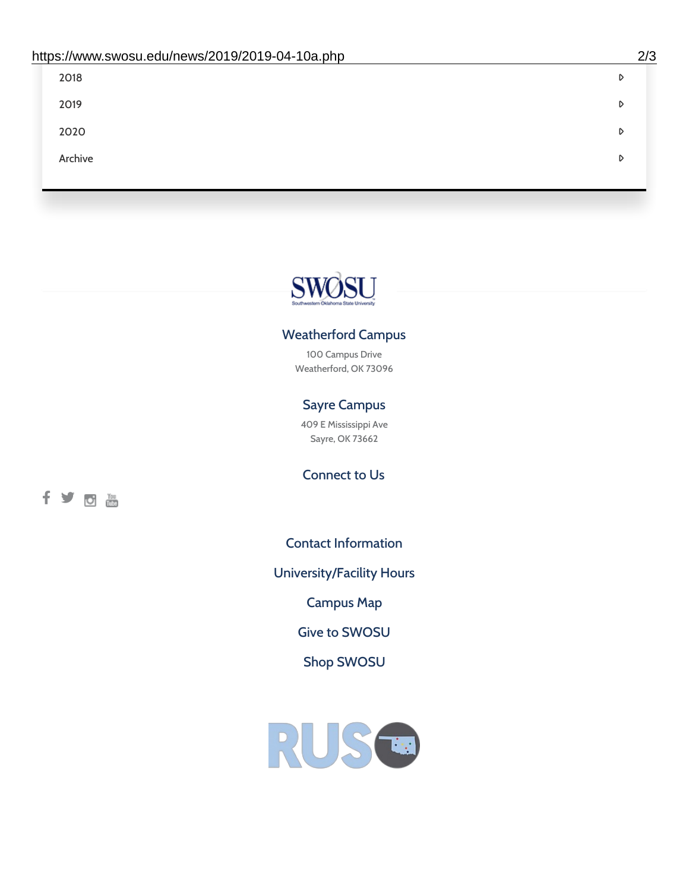| 2018    | D |
|---------|---|
| 2019    | D |
| 2020    | D |
| Archive | D |
|         |   |

# SWØSU

### Weatherford Campus

100 Campus Drive Weatherford, OK 73096

### Sayre Campus

409 E Mississippi Ave Sayre, OK 73662

fyom

Connect to Us

Contact [Information](https://www.swosu.edu/about/contact.php)

[University/Facility](https://www.swosu.edu/about/operating-hours.php) Hours

[Campus](https://map.concept3d.com/?id=768#!ct/10964,10214,10213,10212,10205,10204,10203,10202,10136,10129,10128,0,31226,10130,10201,10641,0) Map

Give to [SWOSU](https://standingfirmly.com/donate)

Shop [SWOSU](https://shopswosu.merchorders.com/)